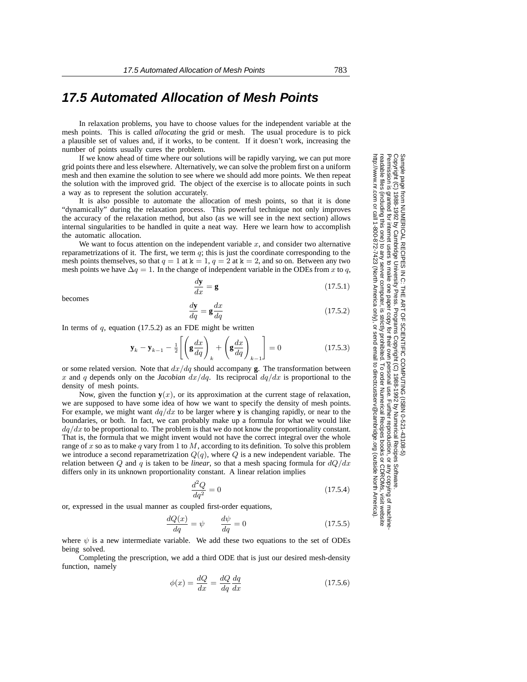## **17.5 Automated Allocation of Mesh Points**

In relaxation problems, you have to choose values for the independent variable at the mesh points. This is called *allocating* the grid or mesh. The usual procedure is to pick a plausible set of values and, if it works, to be content. If it doesn't work, increasing the number of points usually cures the problem.

If we know ahead of time where our solutions will be rapidly varying, we can put more grid points there and less elsewhere. Alternatively, we can solve the problem first on a uniform mesh and then examine the solution to see where we should add more points. We then repeat the solution with the improved grid. The object of the exercise is to allocate points in such a way as to represent the solution accurately.

It is also possible to automate the allocation of mesh points, so that it is done "dynamically" during the relaxation process. This powerful technique not only improves the accuracy of the relaxation method, but also (as we will see in the next section) allows internal singularities to be handled in quite a neat way. Here we learn how to accomplish the automatic allocation.

We want to focus attention on the independent variable  $x$ , and consider two alternative reparametrizations of it. The first, we term  $q$ ; this is just the coordinate corresponding to the mesh points themselves, so that  $q = 1$  at  $k = 1$ ,  $q = 2$  at  $k = 2$ , and so on. Between any two mesh points we have  $\Delta q = 1$ . In the change of independent variable in the ODEs from x to q,

$$
\frac{d\mathbf{y}}{dx} = \mathbf{g} \tag{17.5.1}
$$

becomes

$$
\frac{d\mathbf{y}}{dq} = \mathbf{g}\frac{dx}{dq} \tag{17.5.2}
$$

In terms of  $q$ , equation (17.5.2) as an FDE might be written

$$
\mathbf{y}_k - \mathbf{y}_{k-1} - \frac{1}{2} \left[ \left( \mathbf{g} \frac{dx}{dq} \right)_k + \left( \mathbf{g} \frac{dx}{dq} \right)_{k-1} \right] = 0 \tag{17.5.3}
$$

or some related version. Note that  $dx/dq$  should accompany **g**. The transformation between x and q depends only on the *Jacobian*  $dx/dq$ . Its reciprocal  $dq/dx$  is proportional to the density of mesh points.

Now, given the function  $y(x)$ , or its approximation at the current stage of relaxation, we are supposed to have some idea of how we want to specify the density of mesh points. For example, we might want  $dq/dx$  to be larger where **y** is changing rapidly, or near to the boundaries, or both. In fact, we can probably make up a formula for what we would like  $dq/dx$  to be proportional to. The problem is that we do not know the proportionality constant. That is, the formula that we might invent would not have the correct integral over the whole range of  $x$  so as to make  $q$  vary from 1 to  $M$ , according to its definition. To solve this problem we introduce a second reparametrization  $Q(q)$ , where Q is a new independent variable. The relation between Q and q is taken to be *linear*, so that a mesh spacing formula for  $dQ/dx$ differs only in its unknown proportionality constant. A linear relation implies

$$
\frac{d^2Q}{dq^2} = 0\tag{17.5.4}
$$

or, expressed in the usual manner as coupled first-order equations,

$$
\frac{dQ(x)}{dq} = \psi \qquad \frac{d\psi}{dq} = 0 \tag{17.5.5}
$$

where  $\psi$  is a new intermediate variable. We add these two equations to the set of ODEs being solved.

Completing the prescription, we add a third ODE that is just our desired mesh-density function, namely

$$
\phi(x) = \frac{dQ}{dx} = \frac{dQ}{dq}\frac{dq}{dx} \tag{17.5.6}
$$

Permission is granted for internet users to make one paper copy for their own personal use. Further reproduction, or any copyin Copyright (C) 1988-1992 by Cambridge University Press.Programs Copyright (C) 1988-1992 by Numerical Recipes Software. Sample page from NUMERICAL RECIPES IN C: THE ART OF SCIENTIFIC COMPUTING (ISBN 0-521-43108-5) g of machinereadable files (including this one) to any servercomputer, is strictly prohibited. To order Numerical Recipes booksor CDROMs, visit website http://www.nr.com or call 1-800-872-7423 (North America only),or send email to directcustserv@cambridge.org (outside North America).